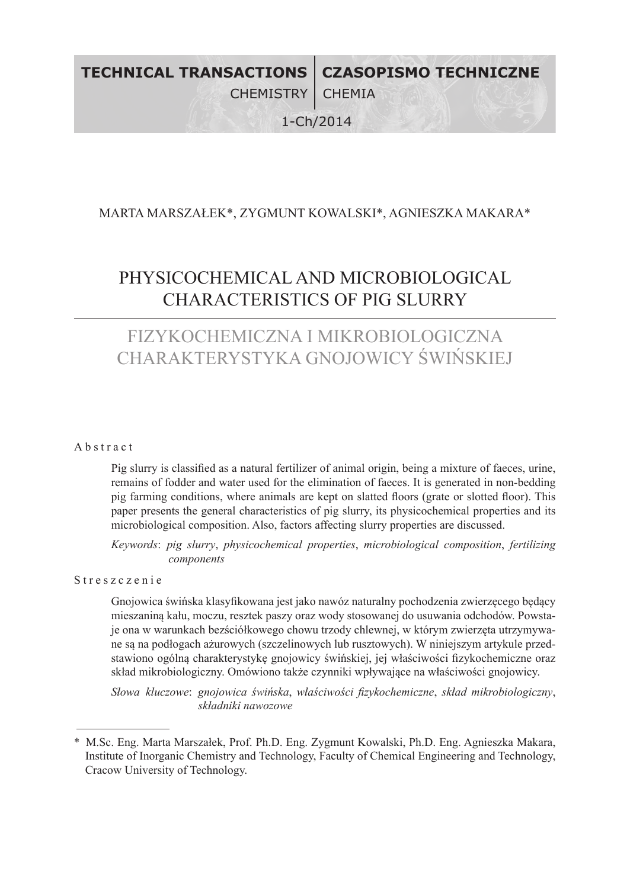#### **TECHNICAL TRANSACTIONS CHEMISTRY** 1-Ch/2014 **CZASOPISMO TECHNICZNE** CHEMIA

# MARTA MARSZAŁEK\*, ZYGMUNT KOWALSKI\*, AGNIESZKA MAKARA\*

# PHYSICOCHEMICAL AND MICROBIOLOGICAL CHARACTERISTICS OF PIG SLURRY

# FIZYKOCHEMICZNA I MIKROBIOLOGICZNA CHARAKTERYSTYKA GNOJOWICY ŚWIŃSKIEJ

#### Abstract

Pig slurry is classified as a natural fertilizer of animal origin, being a mixture of faeces, urine, remains of fodder and water used for the elimination of faeces. It is generated in non-bedding pig farming conditions, where animals are kept on slatted floors (grate or slotted floor). This paper presents the general characteristics of pig slurry, its physicochemical properties and its microbiological composition. Also, factors affecting slurry properties are discussed.

*Keywords*: *pig slurry*, *physicochemical properties*, *microbiological composition*, *fertilizing components*

### Streszczenie

Gnojowica świńska klasyfikowana jest jako nawóz naturalny pochodzenia zwierzęcego będący mieszaniną kału, moczu, resztek paszy oraz wody stosowanej do usuwania odchodów. Powstaje ona w warunkach bezściółkowego chowu trzody chlewnej, w którym zwierzęta utrzymywane są na podłogach ażurowych (szczelinowych lub rusztowych). W niniejszym artykule przedstawiono ogólną charakterystykę gnojowicy świńskiej, jej właściwości fizykochemiczne oraz skład mikrobiologiczny. Omówiono także czynniki wpływające na właściwości gnojowicy.

*Słowa kluczowe*: *gnojowica świńska*, *właściwości fizykochemiczne*, *skład mikrobiologiczny*, *składniki nawozowe*

<sup>\*</sup> M.Sc. Eng. Marta Marszałek, Prof. Ph.D. Eng. Zygmunt Kowalski, Ph.D. Eng. Agnieszka Makara, Institute of Inorganic Chemistry and Technology, Faculty of Chemical Engineering and Technology, Cracow University of Technology.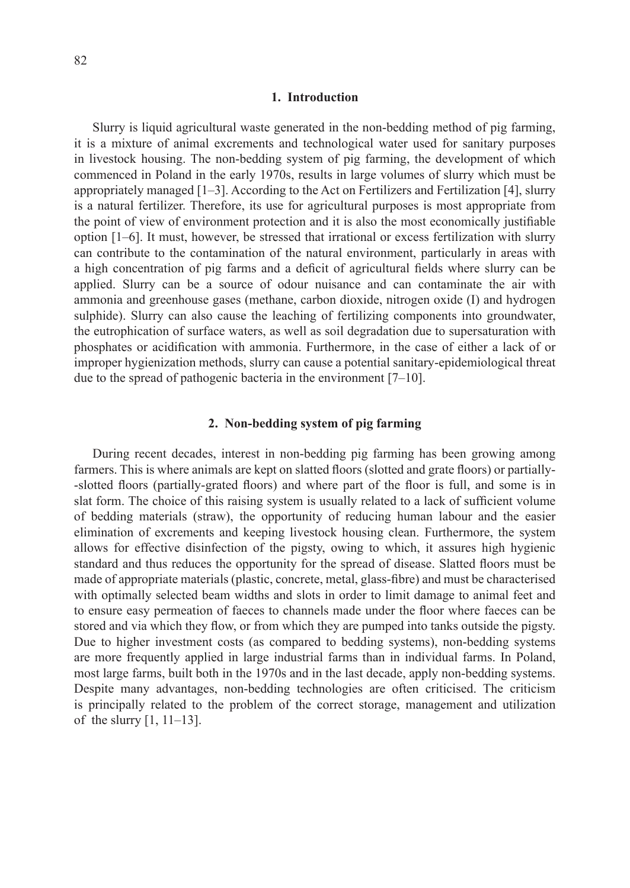#### **1. Introduction**

Slurry is liquid agricultural waste generated in the non-bedding method of pig farming, it is a mixture of animal excrements and technological water used for sanitary purposes in livestock housing. The non-bedding system of pig farming, the development of which commenced in Poland in the early 1970s, results in large volumes of slurry which must be appropriately managed [1–3]. According to the Act on Fertilizers and Fertilization [4], slurry is a natural fertilizer. Therefore, its use for agricultural purposes is most appropriate from the point of view of environment protection and it is also the most economically justifiable option [1–6]. It must, however, be stressed that irrational or excess fertilization with slurry can contribute to the contamination of the natural environment, particularly in areas with a high concentration of pig farms and a deficit of agricultural fields where slurry can be applied. Slurry can be a source of odour nuisance and can contaminate the air with ammonia and greenhouse gases (methane, carbon dioxide, nitrogen oxide (I) and hydrogen sulphide). Slurry can also cause the leaching of fertilizing components into groundwater, the eutrophication of surface waters, as well as soil degradation due to supersaturation with phosphates or acidification with ammonia. Furthermore, in the case of either a lack of or improper hygienization methods, slurry can cause a potential sanitary-epidemiological threat due to the spread of pathogenic bacteria in the environment [7–10].

#### **2. Non-bedding system of pig farming**

During recent decades, interest in non-bedding pig farming has been growing among farmers. This is where animals are kept on slatted floors (slotted and grate floors) or partially- -slotted floors (partially-grated floors) and where part of the floor is full, and some is in slat form. The choice of this raising system is usually related to a lack of sufficient volume of bedding materials (straw), the opportunity of reducing human labour and the easier elimination of excrements and keeping livestock housing clean. Furthermore, the system allows for effective disinfection of the pigsty, owing to which, it assures high hygienic standard and thus reduces the opportunity for the spread of disease. Slatted floors must be made of appropriate materials (plastic, concrete, metal, glass-fibre) and must be characterised with optimally selected beam widths and slots in order to limit damage to animal feet and to ensure easy permeation of faeces to channels made under the floor where faeces can be stored and via which they flow, or from which they are pumped into tanks outside the pigsty. Due to higher investment costs (as compared to bedding systems), non-bedding systems are more frequently applied in large industrial farms than in individual farms. In Poland, most large farms, built both in the 1970s and in the last decade, apply non-bedding systems. Despite many advantages, non-bedding technologies are often criticised. The criticism is principally related to the problem of the correct storage, management and utilization of the slurry  $[1, 11-13]$ .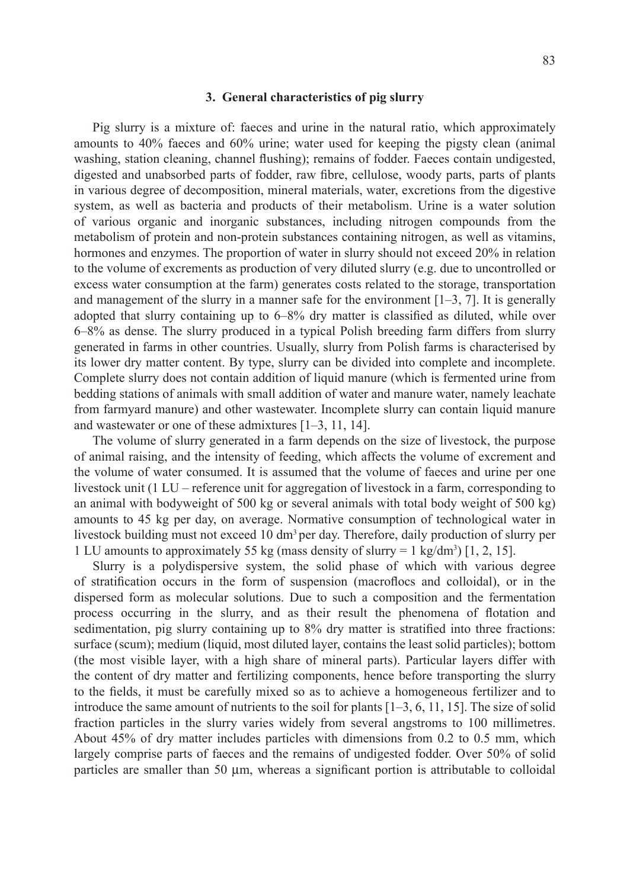#### **3. General characteristics of pig slurry**

Pig slurry is a mixture of: faeces and urine in the natural ratio, which approximately amounts to 40% faeces and 60% urine; water used for keeping the pigsty clean (animal washing, station cleaning, channel flushing); remains of fodder. Faeces contain undigested, digested and unabsorbed parts of fodder, raw fibre, cellulose, woody parts, parts of plants in various degree of decomposition, mineral materials, water, excretions from the digestive system, as well as bacteria and products of their metabolism. Urine is a water solution of various organic and inorganic substances, including nitrogen compounds from the metabolism of protein and non-protein substances containing nitrogen, as well as vitamins, hormones and enzymes. The proportion of water in slurry should not exceed 20% in relation to the volume of excrements as production of very diluted slurry (e.g. due to uncontrolled or excess water consumption at the farm) generates costs related to the storage, transportation and management of the slurry in a manner safe for the environment  $[1-3, 7]$ . It is generally adopted that slurry containing up to 6–8% dry matter is classified as diluted, while over 6–8% as dense. The slurry produced in a typical Polish breeding farm differs from slurry generated in farms in other countries. Usually, slurry from Polish farms is characterised by its lower dry matter content. By type, slurry can be divided into complete and incomplete. Complete slurry does not contain addition of liquid manure (which is fermented urine from bedding stations of animals with small addition of water and manure water, namely leachate from farmyard manure) and other wastewater. Incomplete slurry can contain liquid manure and wastewater or one of these admixtures [1–3, 11, 14].

The volume of slurry generated in a farm depends on the size of livestock, the purpose of animal raising, and the intensity of feeding, which affects the volume of excrement and the volume of water consumed. It is assumed that the volume of faeces and urine per one livestock unit (1 LU – reference unit for aggregation of livestock in a farm, corresponding to an animal with bodyweight of 500 kg or several animals with total body weight of 500 kg) amounts to 45 kg per day, on average. Normative consumption of technological water in livestock building must not exceed 10 dm<sup>3</sup> per day. Therefore, daily production of slurry per 1 LU amounts to approximately 55 kg (mass density of slurry =  $1 \text{ kg/dm}^3$ ) [1, 2, 15].

Slurry is a polydispersive system, the solid phase of which with various degree of stratification occurs in the form of suspension (macroflocs and colloidal), or in the dispersed form as molecular solutions. Due to such a composition and the fermentation process occurring in the slurry, and as their result the phenomena of flotation and sedimentation, pig slurry containing up to 8% dry matter is stratified into three fractions: surface (scum); medium (liquid, most diluted layer, contains the least solid particles); bottom (the most visible layer, with a high share of mineral parts). Particular layers differ with the content of dry matter and fertilizing components, hence before transporting the slurry to the fields, it must be carefully mixed so as to achieve a homogeneous fertilizer and to introduce the same amount of nutrients to the soil for plants [1–3, 6, 11, 15]. The size of solid fraction particles in the slurry varies widely from several angstroms to 100 millimetres. About 45% of dry matter includes particles with dimensions from 0.2 to 0.5 mm, which largely comprise parts of faeces and the remains of undigested fodder. Over 50% of solid particles are smaller than  $50 \mu m$ , whereas a significant portion is attributable to colloidal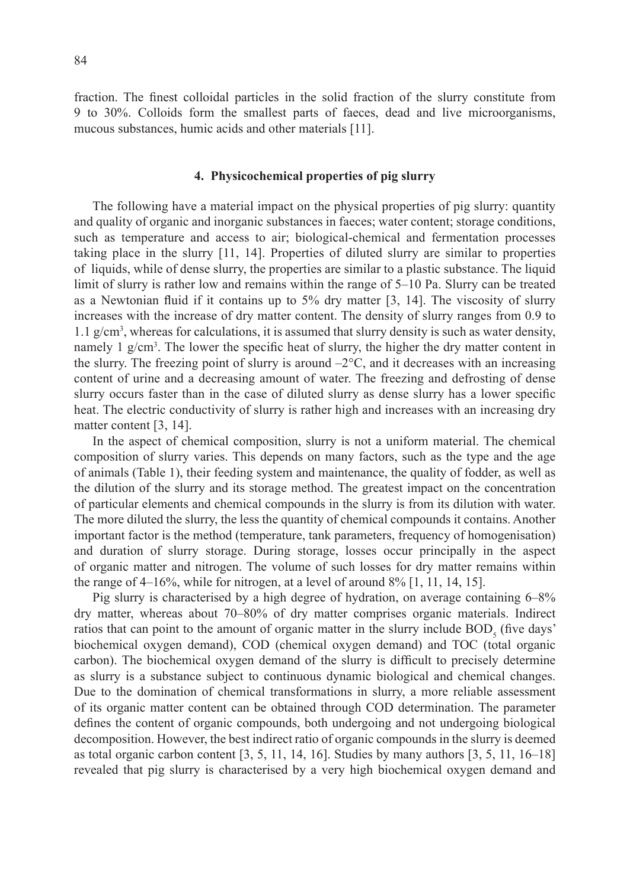fraction. The finest colloidal particles in the solid fraction of the slurry constitute from 9 to 30%. Colloids form the smallest parts of faeces, dead and live microorganisms, mucous substances, humic acids and other materials [11].

#### **4. Physicochemical properties of pig slurry**

The following have a material impact on the physical properties of pig slurry: quantity and quality of organic and inorganic substances in faeces; water content; storage conditions, such as temperature and access to air; biological-chemical and fermentation processes taking place in the slurry [11, 14]. Properties of diluted slurry are similar to properties of liquids, while of dense slurry, the properties are similar to a plastic substance. The liquid limit of slurry is rather low and remains within the range of 5–10 Pa. Slurry can be treated as a Newtonian fluid if it contains up to 5% dry matter [3, 14]. The viscosity of slurry increases with the increase of dry matter content. The density of slurry ranges from 0.9 to 1.1 g/cm<sup>3</sup> , whereas for calculations, it is assumed that slurry density is such as water density, namely 1 g/cm<sup>3</sup>. The lower the specific heat of slurry, the higher the dry matter content in the slurry. The freezing point of slurry is around  $-2^{\circ}$ C, and it decreases with an increasing content of urine and a decreasing amount of water. The freezing and defrosting of dense slurry occurs faster than in the case of diluted slurry as dense slurry has a lower specific heat. The electric conductivity of slurry is rather high and increases with an increasing dry matter content [3, 14].

In the aspect of chemical composition, slurry is not a uniform material. The chemical composition of slurry varies. This depends on many factors, such as the type and the age of animals (Table 1), their feeding system and maintenance, the quality of fodder, as well as the dilution of the slurry and its storage method. The greatest impact on the concentration of particular elements and chemical compounds in the slurry is from its dilution with water. The more diluted the slurry, the less the quantity of chemical compounds it contains. Another important factor is the method (temperature, tank parameters, frequency of homogenisation) and duration of slurry storage. During storage, losses occur principally in the aspect of organic matter and nitrogen. The volume of such losses for dry matter remains within the range of  $4-16\%$ , while for nitrogen, at a level of around  $8\%$  [1, 11, 14, 15].

Pig slurry is characterised by a high degree of hydration, on average containing 6–8% dry matter, whereas about 70–80% of dry matter comprises organic materials. Indirect ratios that can point to the amount of organic matter in the slurry include  $BOD<sub>5</sub>$  (five days' biochemical oxygen demand), COD (chemical oxygen demand) and TOC (total organic carbon). The biochemical oxygen demand of the slurry is difficult to precisely determine as slurry is a substance subject to continuous dynamic biological and chemical changes. Due to the domination of chemical transformations in slurry, a more reliable assessment of its organic matter content can be obtained through COD determination. The parameter defines the content of organic compounds, both undergoing and not undergoing biological decomposition. However, the best indirect ratio of organic compounds in the slurry is deemed as total organic carbon content  $[3, 5, 11, 14, 16]$ . Studies by many authors  $[3, 5, 11, 16-18]$ revealed that pig slurry is characterised by a very high biochemical oxygen demand and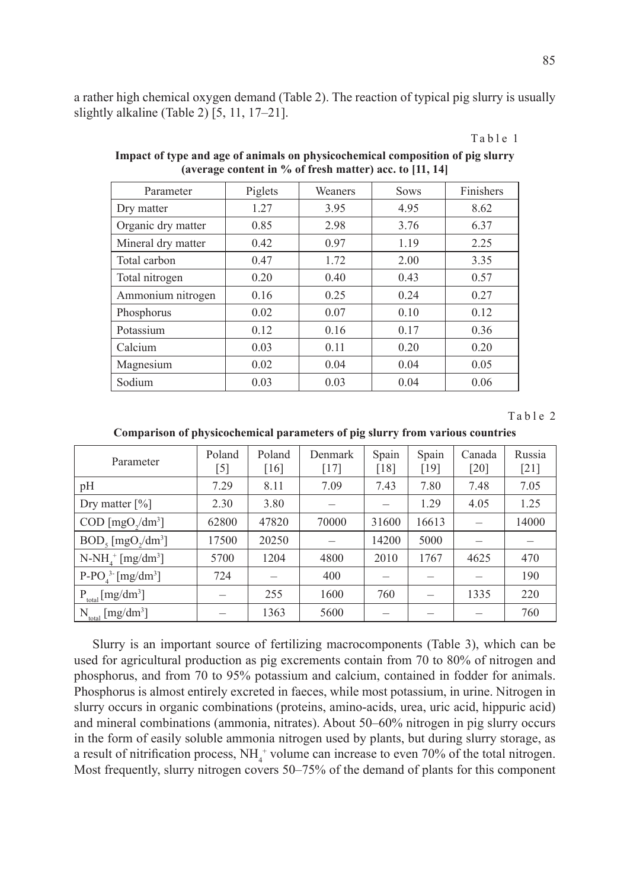a rather high chemical oxygen demand (Table 2). The reaction of typical pig slurry is usually slightly alkaline (Table 2) [5, 11, 17–21].

| Parameter          | Piglets | Weaners | <b>Sows</b> | Finishers |
|--------------------|---------|---------|-------------|-----------|
| Dry matter         | 1.27    | 3.95    | 4.95        | 8.62      |
| Organic dry matter | 0.85    | 2.98    | 3.76        | 6.37      |
| Mineral dry matter | 0.42    | 0.97    | 1.19        | 2.25      |
| Total carbon       | 0.47    | 1.72    | 2.00        | 3.35      |
| Total nitrogen     | 0.20    | 0.40    | 0.43        | 0.57      |
| Ammonium nitrogen  | 0.16    | 0.25    | 0.24        | 0.27      |
| Phosphorus         | 0.02    | 0.07    | 0.10        | 0.12      |
| Potassium          | 0.12    | 0.16    | 0.17        | 0.36      |
| Calcium            | 0.03    | 0.11    | 0.20        | 0.20      |
| Magnesium          | 0.02    | 0.04    | 0.04        | 0.05      |
| Sodium             | 0.03    | 0.03    | 0.04        | 0.06      |

**Impact of type and age of animals on physicochemical composition of pig slurry (average content in % of fresh matter) acc. to [11, 14]**

Table 2

**Comparison of physicochemical parameters of pig slurry from various countries**

| Parameter                                              | Poland<br>$[5]$ | Poland<br>[16] | Denmark<br>$[17]$ | Spain<br>[18] | Spain<br>[19] | Canada<br>[20] | Russia<br>$[21]$ |
|--------------------------------------------------------|-----------------|----------------|-------------------|---------------|---------------|----------------|------------------|
| pH                                                     | 7.29            | 8.11           | 7.09              | 7.43          | 7.80          | 7.48           | 7.05             |
| Dry matter $[\%]$                                      | 2.30            | 3.80           |                   |               | 1.29          | 4.05           | 1.25             |
| COD [mgO, /dm <sup>3</sup> ]                           | 62800           | 47820          | 70000             | 31600         | 16613         |                | 14000            |
| $BOD_{5}$ [mgO <sub>2</sub> /dm <sup>3</sup> ]         | 17500           | 20250          |                   | 14200         | 5000          |                |                  |
| $N-NH4+ [mg/dm3]$                                      | 5700            | 1204           | 4800              | 2010          | 1767          | 4625           | 470              |
| $P-PO43$ [mg/dm <sup>3</sup> ]                         | 724             |                | 400               |               |               |                | 190              |
| $P_{total}$ [mg/dm <sup>3</sup> ]                      |                 | 255            | 1600              | 760           |               | 1335           | 220              |
| [mg/dm <sup>3</sup> ]<br>$^{\rm t}$ N $_{\rm total}$ . |                 | 1363           | 5600              |               |               |                | 760              |

Slurry is an important source of fertilizing macrocomponents (Table 3), which can be used for agricultural production as pig excrements contain from 70 to 80% of nitrogen and phosphorus, and from 70 to 95% potassium and calcium, contained in fodder for animals. Phosphorus is almost entirely excreted in faeces, while most potassium, in urine. Nitrogen in slurry occurs in organic combinations (proteins, amino-acids, urea, uric acid, hippuric acid) and mineral combinations (ammonia, nitrates). About 50–60% nitrogen in pig slurry occurs in the form of easily soluble ammonia nitrogen used by plants, but during slurry storage, as a result of nitrification process,  $NH<sub>4</sub><sup>+</sup>$  volume can increase to even 70% of the total nitrogen. Most frequently, slurry nitrogen covers 50–75% of the demand of plants for this component

Table 1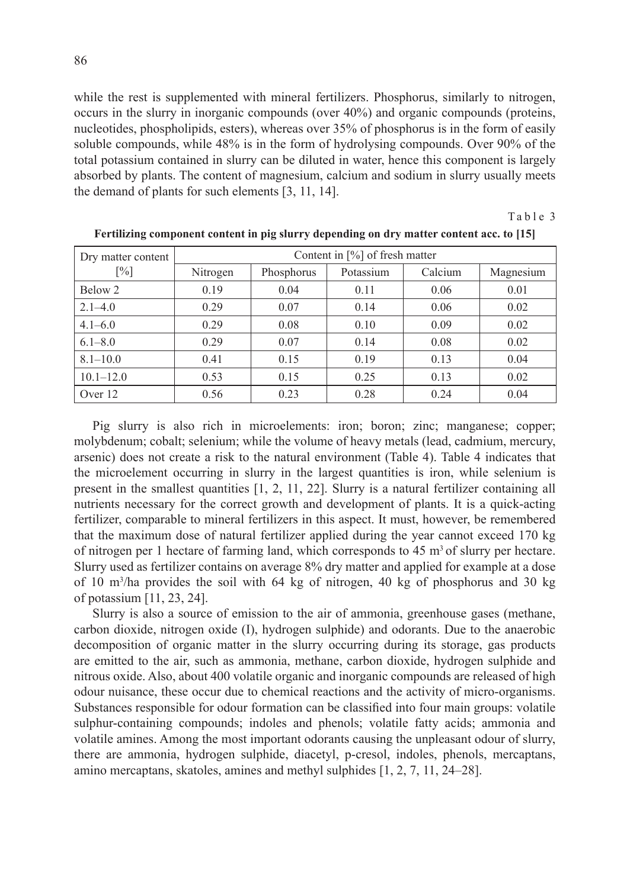while the rest is supplemented with mineral fertilizers. Phosphorus, similarly to nitrogen, occurs in the slurry in inorganic compounds (over 40%) and organic compounds (proteins, nucleotides, phospholipids, esters), whereas over 35% of phosphorus is in the form of easily soluble compounds, while 48% is in the form of hydrolysing compounds. Over 90% of the total potassium contained in slurry can be diluted in water, hence this component is largely absorbed by plants. The content of magnesium, calcium and sodium in slurry usually meets the demand of plants for such elements [3, 11, 14].

| Dry matter content | Content in $[\%]$ of fresh matter |            |           |         |           |
|--------------------|-----------------------------------|------------|-----------|---------|-----------|
| $\lceil \% \rceil$ | Nitrogen                          | Phosphorus | Potassium | Calcium | Magnesium |
| Below 2            | 0.19                              | 0.04       | 0.11      | 0.06    | 0.01      |
| $2.1 - 4.0$        | 0.29                              | 0.07       | 0.14      | 0.06    | 0.02      |
| $4.1 - 6.0$        | 0.29                              | 0.08       | 0.10      | 0.09    | 0.02      |
| $6.1 - 8.0$        | 0.29                              | 0.07       | 0.14      | 0.08    | 0.02      |
| $8.1 - 10.0$       | 0.41                              | 0.15       | 0.19      | 0.13    | 0.04      |
| $10.1 - 12.0$      | 0.53                              | 0.15       | 0.25      | 0.13    | 0.02      |
| Over 12            | 0.56                              | 0.23       | 0.28      | 0.24    | 0.04      |

| Fertilizing component content in pig slurry depending on dry matter content acc. to [15] |  |  |  |  |
|------------------------------------------------------------------------------------------|--|--|--|--|
|------------------------------------------------------------------------------------------|--|--|--|--|

Table 3

Pig slurry is also rich in microelements: iron; boron; zinc; manganese; copper; molybdenum; cobalt; selenium; while the volume of heavy metals (lead, cadmium, mercury, arsenic) does not create a risk to the natural environment (Table 4). Table 4 indicates that the microelement occurring in slurry in the largest quantities is iron, while selenium is present in the smallest quantities [1, 2, 11, 22]. Slurry is a natural fertilizer containing all nutrients necessary for the correct growth and development of plants. It is a quick-acting fertilizer, comparable to mineral fertilizers in this aspect. It must, however, be remembered that the maximum dose of natural fertilizer applied during the year cannot exceed 170 kg of nitrogen per 1 hectare of farming land, which corresponds to  $45 \text{ m}^3$  of slurry per hectare. Slurry used as fertilizer contains on average 8% dry matter and applied for example at a dose of 10 m3 /ha provides the soil with 64 kg of nitrogen, 40 kg of phosphorus and 30 kg of potassium [11, 23, 24].

Slurry is also a source of emission to the air of ammonia, greenhouse gases (methane, carbon dioxide, nitrogen oxide (I), hydrogen sulphide) and odorants. Due to the anaerobic decomposition of organic matter in the slurry occurring during its storage, gas products are emitted to the air, such as ammonia, methane, carbon dioxide, hydrogen sulphide and nitrous oxide. Also, about 400 volatile organic and inorganic compounds are released of high odour nuisance, these occur due to chemical reactions and the activity of micro-organisms. Substances responsible for odour formation can be classified into four main groups: volatile sulphur-containing compounds; indoles and phenols; volatile fatty acids; ammonia and volatile amines. Among the most important odorants causing the unpleasant odour of slurry, there are ammonia, hydrogen sulphide, diacetyl, p-cresol, indoles, phenols, mercaptans, amino mercaptans, skatoles, amines and methyl sulphides [1, 2, 7, 11, 24–28].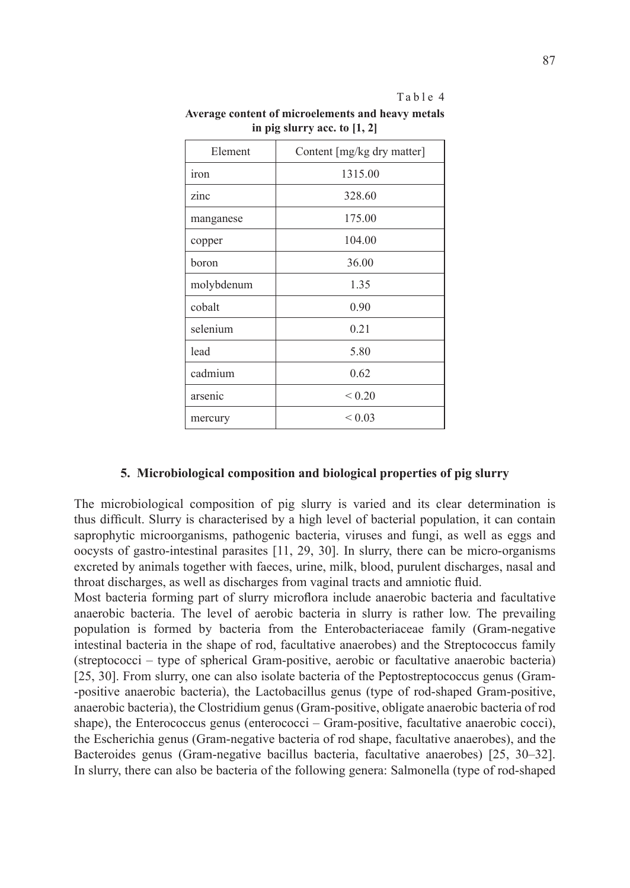| abl | ٣ |
|-----|---|
|-----|---|

| Element     | Content [mg/kg dry matter] |
|-------------|----------------------------|
| <b>iron</b> | 1315.00                    |
| zinc        | 328.60                     |
| manganese   | 175.00                     |
| copper      | 104.00                     |
| boron       | 36.00                      |
| molybdenum  | 1.35                       |
| cobalt      | 0.90                       |
| selenium    | 0.21                       |
| lead        | 5.80                       |
| cadmium     | 0.62                       |
| arsenic     | ${}_{0.20}$                |
| mercury     | ${}_{0.03}$                |

**Average content of microelements and heavy metals in pig slurry acc. to [1, 2]**

### **5. Microbiological composition and biological properties of pig slurry**

The microbiological composition of pig slurry is varied and its clear determination is thus difficult. Slurry is characterised by a high level of bacterial population, it can contain saprophytic microorganisms, pathogenic bacteria, viruses and fungi, as well as eggs and oocysts of gastro-intestinal parasites [11, 29, 30]. In slurry, there can be micro-organisms excreted by animals together with faeces, urine, milk, blood, purulent discharges, nasal and throat discharges, as well as discharges from vaginal tracts and amniotic fluid.

Most bacteria forming part of slurry microflora include anaerobic bacteria and facultative anaerobic bacteria. The level of aerobic bacteria in slurry is rather low. The prevailing population is formed by bacteria from the Enterobacteriaceae family (Gram-negative intestinal bacteria in the shape of rod, facultative anaerobes) and the Streptococcus family (streptococci – type of spherical Gram-positive, aerobic or facultative anaerobic bacteria) [25, 30]. From slurry, one can also isolate bacteria of the Peptostreptococcus genus (Gram--positive anaerobic bacteria), the Lactobacillus genus (type of rod-shaped Gram-positive, anaerobic bacteria), the Clostridium genus (Gram-positive, obligate anaerobic bacteria of rod shape), the Enterococcus genus (enterococci – Gram-positive, facultative anaerobic cocci), the Escherichia genus (Gram-negative bacteria of rod shape, facultative anaerobes), and the Bacteroides genus (Gram-negative bacillus bacteria, facultative anaerobes) [25, 30–32]. In slurry, there can also be bacteria of the following genera: Salmonella (type of rod-shaped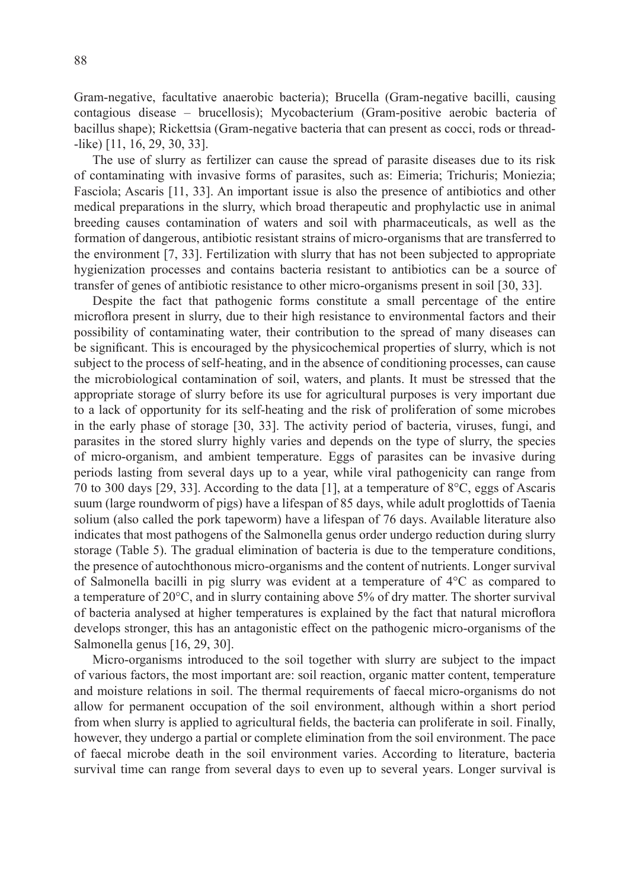88

Gram-negative, facultative anaerobic bacteria); Brucella (Gram-negative bacilli, causing contagious disease – brucellosis); Mycobacterium (Gram-positive aerobic bacteria of bacillus shape); Rickettsia (Gram-negative bacteria that can present as cocci, rods or thread- -like) [11, 16, 29, 30, 33].

The use of slurry as fertilizer can cause the spread of parasite diseases due to its risk of contaminating with invasive forms of parasites, such as: Eimeria; Trichuris; Moniezia; Fasciola; Ascaris [11, 33]. An important issue is also the presence of antibiotics and other medical preparations in the slurry, which broad therapeutic and prophylactic use in animal breeding causes contamination of waters and soil with pharmaceuticals, as well as the formation of dangerous, antibiotic resistant strains of micro-organisms that are transferred to the environment [7, 33]. Fertilization with slurry that has not been subjected to appropriate hygienization processes and contains bacteria resistant to antibiotics can be a source of transfer of genes of antibiotic resistance to other micro-organisms present in soil [30, 33].

Despite the fact that pathogenic forms constitute a small percentage of the entire microflora present in slurry, due to their high resistance to environmental factors and their possibility of contaminating water, their contribution to the spread of many diseases can be significant. This is encouraged by the physicochemical properties of slurry, which is not subject to the process of self-heating, and in the absence of conditioning processes, can cause the microbiological contamination of soil, waters, and plants. It must be stressed that the appropriate storage of slurry before its use for agricultural purposes is very important due to a lack of opportunity for its self-heating and the risk of proliferation of some microbes in the early phase of storage [30, 33]. The activity period of bacteria, viruses, fungi, and parasites in the stored slurry highly varies and depends on the type of slurry, the species of micro-organism, and ambient temperature. Eggs of parasites can be invasive during periods lasting from several days up to a year, while viral pathogenicity can range from 70 to 300 days [29, 33]. According to the data [1], at a temperature of 8°C, eggs of Ascaris suum (large roundworm of pigs) have a lifespan of 85 days, while adult proglottids of Taenia solium (also called the pork tapeworm) have a lifespan of 76 days. Available literature also indicates that most pathogens of the Salmonella genus order undergo reduction during slurry storage (Table 5). The gradual elimination of bacteria is due to the temperature conditions, the presence of autochthonous micro-organisms and the content of nutrients. Longer survival of Salmonella bacilli in pig slurry was evident at a temperature of 4°C as compared to a temperature of 20°C, and in slurry containing above 5% of dry matter. The shorter survival of bacteria analysed at higher temperatures is explained by the fact that natural microflora develops stronger, this has an antagonistic effect on the pathogenic micro-organisms of the Salmonella genus [16, 29, 30].

Micro-organisms introduced to the soil together with slurry are subject to the impact of various factors, the most important are: soil reaction, organic matter content, temperature and moisture relations in soil. The thermal requirements of faecal micro-organisms do not allow for permanent occupation of the soil environment, although within a short period from when slurry is applied to agricultural fields, the bacteria can proliferate in soil. Finally, however, they undergo a partial or complete elimination from the soil environment. The pace of faecal microbe death in the soil environment varies. According to literature, bacteria survival time can range from several days to even up to several years. Longer survival is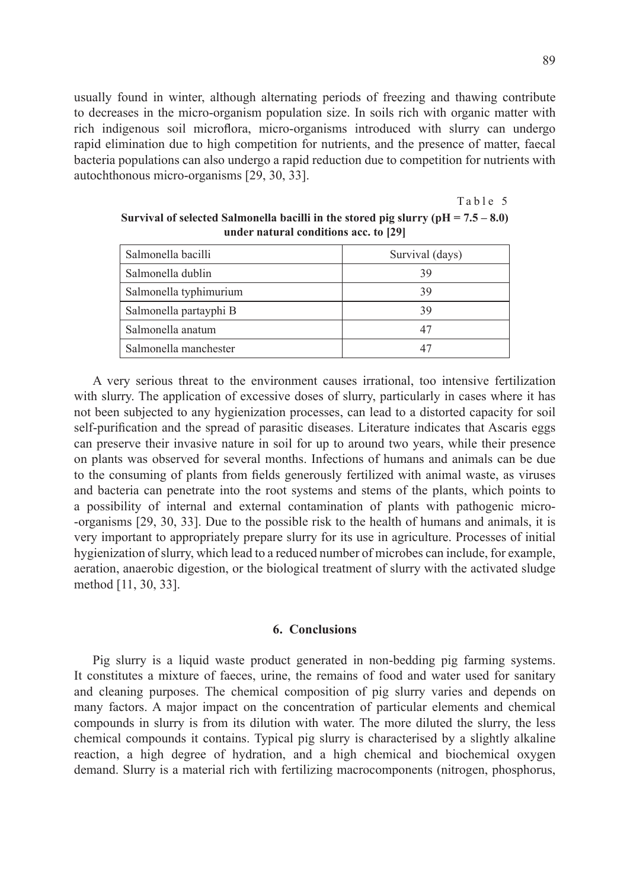usually found in winter, although alternating periods of freezing and thawing contribute to decreases in the micro-organism population size. In soils rich with organic matter with rich indigenous soil microflora, micro-organisms introduced with slurry can undergo rapid elimination due to high competition for nutrients, and the presence of matter, faecal bacteria populations can also undergo a rapid reduction due to competition for nutrients with autochthonous micro-organisms [29, 30, 33].

Table 5

| Salmonella bacilli     | Survival (days) |  |  |
|------------------------|-----------------|--|--|
| Salmonella dublin      | 39              |  |  |
| Salmonella typhimurium | 39              |  |  |
| Salmonella partayphi B | 39              |  |  |
| Salmonella anatum      | 47              |  |  |
| Salmonella manchester  | 47              |  |  |

**Survival of selected Salmonella bacilli in the stored pig slurry (pH = 7.5 – 8.0) under natural conditions acc. to [29]**

A very serious threat to the environment causes irrational, too intensive fertilization with slurry. The application of excessive doses of slurry, particularly in cases where it has not been subjected to any hygienization processes, can lead to a distorted capacity for soil self-purification and the spread of parasitic diseases. Literature indicates that Ascaris eggs can preserve their invasive nature in soil for up to around two years, while their presence on plants was observed for several months. Infections of humans and animals can be due to the consuming of plants from fields generously fertilized with animal waste, as viruses and bacteria can penetrate into the root systems and stems of the plants, which points to a possibility of internal and external contamination of plants with pathogenic micro- -organisms [29, 30, 33]. Due to the possible risk to the health of humans and animals, it is very important to appropriately prepare slurry for its use in agriculture. Processes of initial hygienization of slurry, which lead to a reduced number of microbes can include, for example, aeration, anaerobic digestion, or the biological treatment of slurry with the activated sludge method [11, 30, 33].

#### **6. Conclusions**

Pig slurry is a liquid waste product generated in non-bedding pig farming systems. It constitutes a mixture of faeces, urine, the remains of food and water used for sanitary and cleaning purposes. The chemical composition of pig slurry varies and depends on many factors. A major impact on the concentration of particular elements and chemical compounds in slurry is from its dilution with water. The more diluted the slurry, the less chemical compounds it contains. Typical pig slurry is characterised by a slightly alkaline reaction, a high degree of hydration, and a high chemical and biochemical oxygen demand. Slurry is a material rich with fertilizing macrocomponents (nitrogen, phosphorus,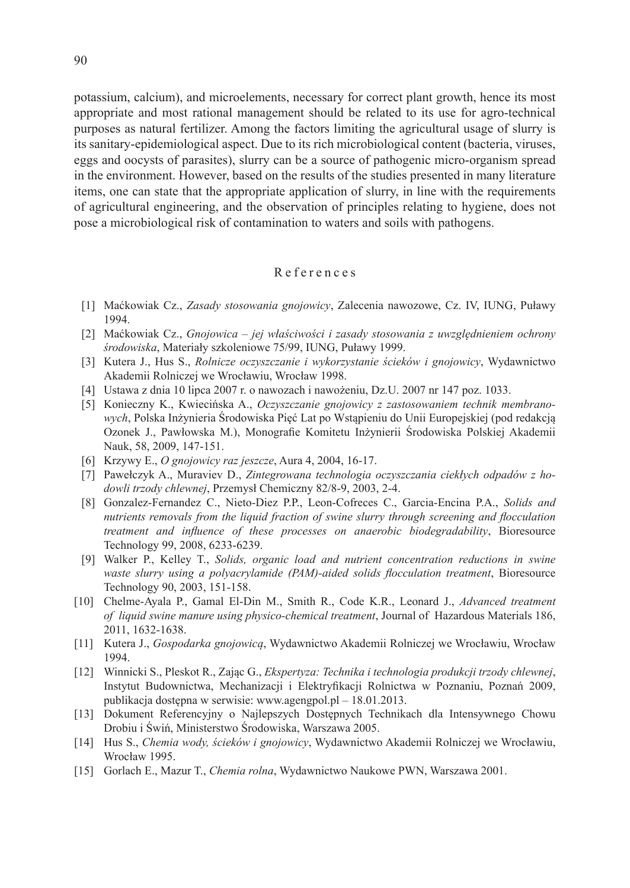potassium, calcium), and microelements, necessary for correct plant growth, hence its most appropriate and most rational management should be related to its use for agro-technical purposes as natural fertilizer. Among the factors limiting the agricultural usage of slurry is its sanitary-epidemiological aspect. Due to its rich microbiological content (bacteria, viruses, eggs and oocysts of parasites), slurry can be a source of pathogenic micro-organism spread in the environment. However, based on the results of the studies presented in many literature items, one can state that the appropriate application of slurry, in line with the requirements of agricultural engineering, and the observation of principles relating to hygiene, does not pose a microbiological risk of contamination to waters and soils with pathogens.

## References

- [1] Maćkowiak Cz., *Zasady stosowania gnojowicy*, Zalecenia nawozowe, Cz. IV, IUNG, Puławy 1994.
- [2] Maćkowiak Cz., *Gnojowica jej właściwości i zasady stosowania z uwzględnieniem ochrony środowiska*, Materiały szkoleniowe 75/99, IUNG, Puławy 1999.
- [3] Kutera J., Hus S., *Rolnicze oczyszczanie i wykorzystanie ścieków i gnojowicy*, Wydawnictwo Akademii Rolniczej we Wrocławiu, Wrocław 1998.
- [4] Ustawa z dnia 10 lipca 2007 r. o nawozach i nawożeniu, Dz.U. 2007 nr 147 poz. 1033.
- [5] Konieczny K., Kwiecińska A., *Oczyszczanie gnojowicy z zastosowaniem technik membranowych*, Polska Inżynieria Środowiska Pięć Lat po Wstąpieniu do Unii Europejskiej (pod redakcją Ozonek J., Pawłowska M.), Monografie Komitetu Inżynierii Środowiska Polskiej Akademii Nauk, 58, 2009, 147-151.
- [6] Krzywy E., *O gnojowicy raz jeszcze*, Aura 4, 2004, 16-17.
- [7] Pawełczyk A., Muraviev D., *Zintegrowana technologia oczyszczania ciekłych odpadów z hodowli trzody chlewnej*, Przemysł Chemiczny 82/8-9, 2003, 2-4.
- [8] Gonzalez-Fernandez C., Nieto-Diez P.P., Leon-Cofreces C., Garcia-Encina P.A., *Solids and nutrients removals from the liquid fraction of swine slurry through screening and flocculation treatment and influence of these processes on anaerobic biodegradability*, Bioresource Technology 99, 2008, 6233-6239.
- [9] Walker P., Kelley T., *Solids, organic load and nutrient concentration reductions in swine waste slurry using a polyacrylamide (PAM)-aided solids flocculation treatment*, Bioresource Technology 90, 2003, 151-158.
- [10] Chelme-Ayala P., Gamal El-Din M., Smith R., Code K.R., Leonard J., *Advanced treatment of liquid swine manure using physico-chemical treatment*, Journal of Hazardous Materials 186, 2011, 1632-1638.
- [11] Kutera J., *Gospodarka gnojowicą*, Wydawnictwo Akademii Rolniczej we Wrocławiu, Wrocław 1994.
- [12] Winnicki S., Pleskot R., Zając G., *Ekspertyza: Technika i technologia produkcji trzody chlewnej*, Instytut Budownictwa, Mechanizacji i Elektryfikacji Rolnictwa w Poznaniu, Poznań 2009, publikacja dostępna w serwisie: www.agengpol.pl – 18.01.2013.
- [13] Dokument Referencyjny o Najlepszych Dostępnych Technikach dla Intensywnego Chowu Drobiu i Świń, Ministerstwo Środowiska, Warszawa 2005.
- [14] Hus S., *Chemia wody, ścieków i gnojowicy*, Wydawnictwo Akademii Rolniczej we Wrocławiu, Wrocław 1995.
- [15] Gorlach E., Mazur T., *Chemia rolna*, Wydawnictwo Naukowe PWN, Warszawa 2001.